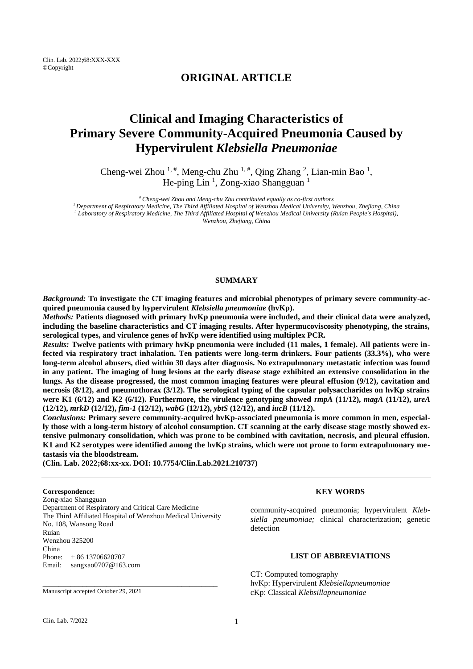## **ORIGINAL ARTICLE**

# **Clinical and Imaging Characteristics of Primary Severe Community-Acquired Pneumonia Caused by Hypervirulent** *Klebsiella Pneumoniae*

Cheng-wei Zhou  $^{1, \#}$ , Meng-chu Zhu  $^{1, \#}$ , Qing Zhang  $^2$ , Lian-min Bao  $^1$ , He-ping Lin<sup>1</sup>, Zong-xiao Shangguan<sup>1</sup>

*# Cheng-wei Zhou and Meng-chu Zhu contributed equally as co-first authors <sup>1</sup>Department of Respiratory Medicine, The Third Affiliated Hospital of Wenzhou Medical University, Wenzhou, Zhejiang, China <sup>2</sup> Laboratory of Respiratory Medicine, The Third Affiliated Hospital of Wenzhou Medical University (Ruian People's Hospital), Wenzhou, Zhejiang, China*

#### **SUMMARY**

*Background:* **To investigate the CT imaging features and microbial phenotypes of primary severe community-acquired pneumonia caused by hypervirulent** *Klebsiella pneumoniae* **(hvKp).**

*Methods:* **Patients diagnosed with primary hvKp pneumonia were included, and their clinical data were analyzed, including the baseline characteristics and CT imaging results. After hypermucoviscosity phenotyping, the strains, serological types, and virulence genes of hvKp were identified using multiplex PCR.**

*Results:* **Twelve patients with primary hvKp pneumonia were included (11 males, 1 female). All patients were infected via respiratory tract inhalation. Ten patients were long-term drinkers. Four patients (33.3%), who were long-term alcohol abusers, died within 30 days after diagnosis. No extrapulmonary metastatic infection was found in any patient. The imaging of lung lesions at the early disease stage exhibited an extensive consolidation in the lungs. As the disease progressed, the most common imaging features were pleural effusion (9/12), cavitation and necrosis (8/12), and pneumothorax (3/12). The serological typing of the capsular polysaccharides on hvKp strains were K1 (6/12) and K2 (6/12). Furthermore, the virulence genotyping showed** *rmpA* **(11/12),** *magA* **(11/12),** *ureA* **(12/12),** *mrkD* **(12/12),** *fim-1* **(12/12),** *wabG* **(12/12),** *ybtS* **(12/12), and** *iucB* **(11/12).**

*Conclusions:* **Primary severe community-acquired hvKp-associated pneumonia is more common in men, especially those with a long-term history of alcohol consumption. CT scanning at the early disease stage mostly showed extensive pulmonary consolidation, which was prone to be combined with cavitation, necrosis, and pleural effusion. K1 and K2 serotypes were identified among the hvKp strains, which were not prone to form extrapulmonary metastasis via the bloodstream.**

**(Clin. Lab. 2022;68:xx-xx. DOI: 10.7754/Clin.Lab.2021.210737)**

#### **Correspondence:**

Zong-xiao Shangguan Department of Respiratory and Critical Care Medicine The Third Affiliated Hospital of Wenzhou Medical University No. 108, Wansong Road Ruian Wenzhou 325200 China Phone: + 86 13706620707 Email: sangxao0707@163.com

\_\_\_\_\_\_\_\_\_\_\_\_\_\_\_\_\_\_\_\_\_\_\_\_\_\_\_\_\_\_\_\_\_\_\_\_\_\_\_\_\_\_\_\_

Manuscript accepted October 29, 2021

#### **KEY WORDS**

community-acquired pneumonia; hypervirulent *Klebsiella pneumoniae;* clinical characterization; genetic detection

## **LIST OF ABBREVIATIONS**

CT: Computed tomography hvKp: Hypervirulent *Klebsiellapneumoniae* cKp: Classical *Klebsillapneumoniae*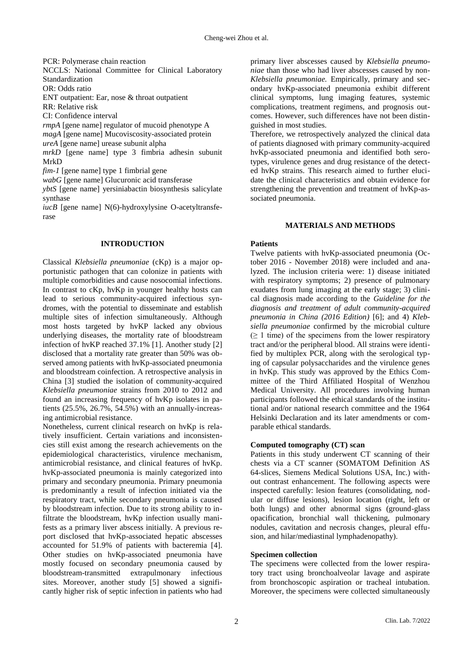PCR: Polymerase chain reaction

- NCCLS: National Committee for Clinical Laboratory
- Standardization

OR: Odds ratio

ENT outpatient: Ear, nose & throat outpatient

RR: Relative risk

CI: Confidence interval

*rmpA* [gene name] regulator of mucoid phenotype A

*magA* [gene name] Mucoviscosity-associated protein

*ureA* [gene name] urease subunit alpha

*mrkD* [gene name] type 3 fimbria adhesin subunit MrkD

*fim-1* [gene name] type 1 fimbrial gene

*wabG* [gene name] Glucuronic acid transferase

*ybtS* [gene name] yersiniabactin biosynthesis salicylate synthase

*iucB* [gene name] N(6)-hydroxylysine O-acetyltransferase

## **INTRODUCTION**

Classical *Klebsiella pneumoniae* (cKp) is a major opportunistic pathogen that can colonize in patients with multiple comorbidities and cause nosocomial infections. In contrast to cKp, hvKp in younger healthy hosts can lead to serious community-acquired infectious syndromes, with the potential to disseminate and establish multiple sites of infection simultaneously. Although most hosts targeted by hvKP lacked any obvious underlying diseases, the mortality rate of bloodstream infection of hvKP reached 37.1% [1]. Another study [\[2\]](#page-9-0) disclosed that a mortality rate greater than 50% was observed among patients with hvKp-associated pneumonia and bloodstream coinfection. A retrospective analysis in China [\[3\]](#page-9-1) studied the isolation of community-acquired *Klebsiella pneumoniae* strains from 2010 to 2012 and found an increasing frequency of hvKp isolates in patients (25.5%, 26.7%, 54.5%) with an annually-increasing antimicrobial resistance.

Nonetheless, current clinical research on hvKp is relatively insufficient. Certain variations and inconsistencies still exist among the research achievements on the epidemiological characteristics, virulence mechanism, antimicrobial resistance, and clinical features of hvKp. hvKp-associated pneumonia is mainly categorized into primary and secondary pneumonia. Primary pneumonia is predominantly a result of infection initiated via the respiratory tract, while secondary pneumonia is caused by bloodstream infection. Due to its strong ability to infiltrate the bloodstream, hvKp infection usually manifests as a primary liver abscess initially. A previous report disclosed that hvKp-associated hepatic abscesses accounted for 51.9% of patients with bacteremia [\[4\]](#page-9-2). Other studies on hvKp-associated pneumonia have mostly focused on secondary pneumonia caused by bloodstream-transmitted extrapulmonary infectious sites. Moreover, another study [\[5\]](#page-9-3) showed a significantly higher risk of septic infection in patients who had

primary liver abscesses caused by *Klebsiella pneumoniae* than those who had liver abscesses caused by non-*Klebsiella pneumoniae.* Empirically, primary and secondary hvKp-associated pneumonia exhibit different clinical symptoms, lung imaging features, systemic complications, treatment regimens, and prognosis outcomes. However, such differences have not been distinguished in most studies.

Therefore, we retrospectively analyzed the clinical data of patients diagnosed with primary community-acquired hvKp-associated pneumonia and identified both serotypes, virulence genes and drug resistance of the detected hvKp strains. This research aimed to further elucidate the clinical characteristics and obtain evidence for strengthening the prevention and treatment of hvKp-associated pneumonia.

## **MATERIALS AND METHODS**

## **Patients**

Twelve patients with hvKp-associated pneumonia (October 2016 - November 2018) were included and analyzed. The inclusion criteria were: 1) disease initiated with respiratory symptoms; 2) presence of pulmonary exudates from lung imaging at the early stage; 3) clinical diagnosis made according to the *Guideline for the diagnosis and treatment of adult community-acquired pneumonia in China (2016 Edition)* [\[6\]](#page-9-4); and 4) *Klebsiella pneumoniae* confirmed by the microbial culture  $( \geq 1$  time) of the specimens from the lower respiratory tract and/or the peripheral blood. All strains were identified by multiplex PCR, along with the serological typing of capsular polysaccharides and the virulence genes in hvKp. This study was approved by the Ethics Committee of the Third Affiliated Hospital of Wenzhou Medical University. All procedures involving human participants followed the ethical standards of the institutional and/or national research committee and the 1964 Helsinki Declaration and its later amendments or comparable ethical standards.

## **Computed tomography (CT) scan**

Patients in this study underwent CT scanning of their chests via a CT scanner (SOMATOM Definition AS 64-slices, Siemens Medical Solutions USA, Inc.) without contrast enhancement. The following aspects were inspected carefully: lesion features (consolidating, nodular or diffuse lesions), lesion location (right, left or both lungs) and other abnormal signs (ground-glass opacification, bronchial wall thickening, pulmonary nodules, cavitation and necrosis changes, pleural effusion, and hilar/mediastinal lymphadenopathy).

## **Specimen collection**

The specimens were collected from the lower respiratory tract using bronchoalveolar lavage and aspirate from bronchoscopic aspiration or tracheal intubation. Moreover, the specimens were collected simultaneously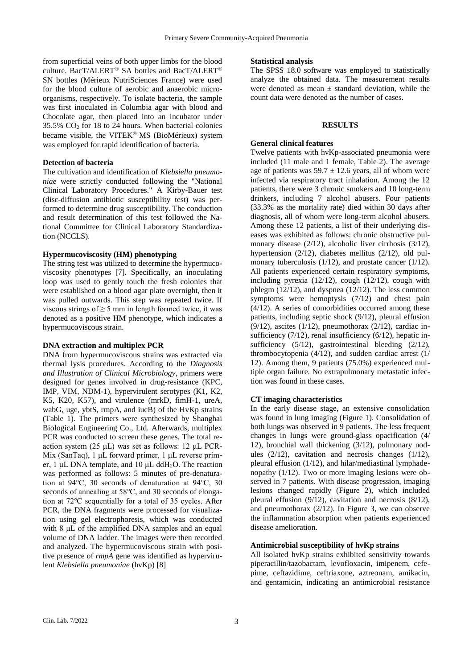from superficial veins of both upper limbs for the blood culture. BacT/ALERT<sup>®</sup> SA bottles and BacT/ALERT<sup>®</sup> SN bottles (Mérieux NutriSciences France) were used for the blood culture of aerobic and anaerobic microorganisms, respectively. To isolate bacteria, the sample was first inoculated in Columbia agar with blood and Chocolate agar, then placed into an incubator under 35.5%  $CO<sub>2</sub>$  for 18 to 24 hours. When bacterial colonies became visible, the VITEK<sup>®</sup> MS (BioMérieux) system was employed for rapid identification of bacteria.

## **Detection of bacteria**

The cultivation and identification of *Klebsiella pneumoniae* were strictly conducted following the "National Clinical Laboratory Procedures." A Kirby-Bauer test (disc-diffusion antibiotic susceptibility test) was performed to determine drug susceptibility. The conduction and result determination of this test followed the National Committee for Clinical Laboratory Standardization (NCCLS).

#### **Hypermucoviscosity (HM) phenotyping**

The string test was utilized to determine the hypermucoviscosity phenotypes [\[7\]](#page-9-5). Specifically, an inoculating loop was used to gently touch the fresh colonies that were established on a blood agar plate overnight, then it was pulled outwards. This step was repeated twice. If viscous strings of  $\geq$  5 mm in length formed twice, it was denoted as a positive HM phenotype, which indicates a hypermucoviscous strain.

#### **DNA extraction and multiplex PCR**

DNA from hypermucoviscous strains was extracted via thermal lysis procedures. According to the *Diagnosis and Illustration of Clinical Microbiology*, primers were designed for genes involved in drug-resistance (KPC, IMP, VIM, NDM-1), hypervirulent serotypes (K1, K2, K5, K20, K57), and virulence (mrkD, fimH-1, ureA, wabG, uge, ybtS, rmpA, and iucB) of the HvKp strains (Table 1). The primers were synthesized by Shanghai Biological Engineering Co., Ltd. Afterwards, multiplex PCR was conducted to screen these genes. The total reaction system (25 μL) was set as follows: 12 μL PCR-Mix (SanTaq), 1 μL forward primer, 1 μL reverse primer, 1 μL DNA template, and 10 μL ddH2O. The reaction was performed as follows: 5 minutes of pre-denaturation at 94℃, 30 seconds of denaturation at 94℃, 30 seconds of annealing at 58°C, and 30 seconds of elongation at 72℃ sequentially for a total of 35 cycles. After PCR, the DNA fragments were processed for visualization using gel electrophoresis, which was conducted with 8 μL of the amplified DNA samples and an equal volume of DNA ladder. The images were then recorded and analyzed. The hypermucoviscous strain with positive presence of *rmpA* gene was identified as hypervirulent *Klebsiella pneumoniae* (hvKp) [\[8\]](#page-9-6)

## **Statistical analysis**

The SPSS 18.0 software was employed to statistically analyze the obtained data. The measurement results were denoted as mean  $\pm$  standard deviation, while the count data were denoted as the number of cases.

#### **RESULTS**

## **General clinical features**

Twelve patients with hvKp-associated pneumonia were included (11 male and 1 female, Table 2). The average age of patients was  $59.7 \pm 12.6$  years, all of whom were infected via respiratory tract inhalation. Among the 12 patients, there were 3 chronic smokers and 10 long-term drinkers, including 7 alcohol abusers. Four patients (33.3% as the mortality rate) died within 30 days after diagnosis, all of whom were long-term alcohol abusers. Among these 12 patients, a list of their underlying diseases was exhibited as follows: chronic obstructive pulmonary disease (2/12), alcoholic liver cirrhosis (3/12), hypertension (2/12), diabetes mellitus (2/12), old pulmonary tuberculosis (1/12), and prostate cancer (1/12). All patients experienced certain respiratory symptoms, including pyrexia (12/12), cough (12/12), cough with phlegm (12/12), and dyspnea (12/12). The less common symptoms were hemoptysis (7/12) and chest pain  $(4/12)$ . A series of comorbidities occurred among these patients, including septic shock (9/12), pleural effusion (9/12), ascites (1/12), pneumothorax (2/12), cardiac insufficiency (7/12), renal insufficiency (6/12), hepatic insufficiency (5/12), gastrointestinal bleeding (2/12), thrombocytopenia (4/12), and sudden cardiac arrest (1/ 12). Among them, 9 patients (75.0%) experienced multiple organ failure. No extrapulmonary metastatic infection was found in these cases.

## **CT imaging characteristics**

In the early disease stage, an extensive consolidation was found in lung imaging (Figure 1). Consolidation of both lungs was observed in 9 patients. The less frequent changes in lungs were ground-glass opacification (4/ 12), bronchial wall thickening (3/12), pulmonary nodules (2/12), cavitation and necrosis changes (1/12), pleural effusion (1/12), and hilar/mediastinal lymphadenopathy (1/12). Two or more imaging lesions were observed in 7 patients. With disease progression, imaging lesions changed rapidly (Figure 2), which included pleural effusion (9/12), cavitation and necrosis (8/12), and pneumothorax (2/12). In Figure 3, we can observe the inflammation absorption when patients experienced disease amelioration.

#### **Antimicrobial susceptibility of hvKp strains**

All isolated hvKp strains exhibited sensitivity towards piperacillin/tazobactam, levofloxacin, imipenem, cefepime, ceftazidime, ceftriaxone, aztreonam, amikacin, and gentamicin, indicating an antimicrobial resistance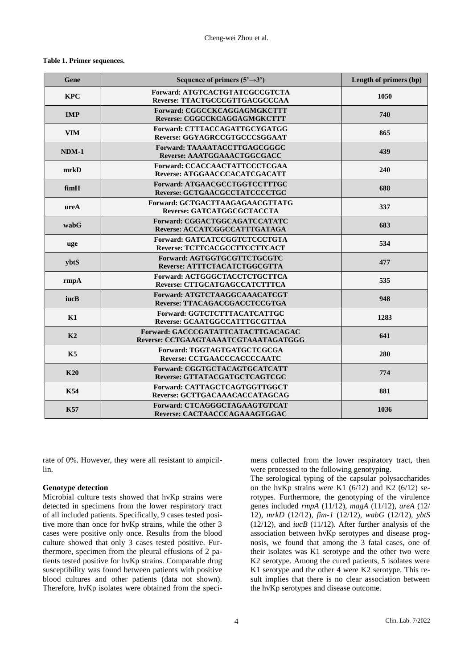#### **Table 1. Primer sequences.**

| Gene           | Sequence of primers $(5' \rightarrow 3')$                                  | Length of primers (bp) |
|----------------|----------------------------------------------------------------------------|------------------------|
| <b>KPC</b>     | Forward: ATGTCACTGTATCGCCGTCTA<br>Reverse: TTACTGCCCGTTGACGCCCAA           | 1050                   |
| <b>IMP</b>     | Forward: CGGCCKCAGGAGMGKCTTT<br>Reverse: CGGCCKCAGGAGMGKCTTT               | 740                    |
| <b>VIM</b>     | Forward: CTTTACCAGATTGCYGATGG<br>Reverse: GGYAGRCCGTGCCCSGGAAT             | 865                    |
| $NDM-1$        | Forward: TAAAATACCTTGAGCGGGC<br>Reverse: AAATGGAAACTGGCGACC                | 439                    |
| mrkD           | <b>Forward: CCACCAACTATTCCCTCGAA</b><br>Reverse: ATGGAACCCACATCGACATT      | 240                    |
| fimH           | Forward: ATGAACGCCTGGTCCTTTGC<br>Reverse: GCTGAACGCCTATCCCCTGC             | 688                    |
| ureA           | Forward: GCTGACTTAAGAGAACGTTATG<br>Reverse: GATCATGGCGCTACCTA              | 337                    |
| wabG           | Forward: CGGACTGGCAGATCCATATC<br>Reverse: ACCATCGGCCATTTGATAGA             | 683                    |
| uge            | Forward: GATCATCCGGTCTCCCTGTA<br>Reverse: TCTTCACGCCTTCCTTCACT             | 534                    |
| ybtS           | Forward: AGTGGTGCGTTCTGCGTC<br>Reverse: ATTTCTACATCTGGCGTTA                | 477                    |
| rmpA           | Forward: ACTGGGCTACCTCTGCTTCA<br>Reverse: CTTGCATGAGCCATCTTTCA             | 535                    |
| iucB           | Forward: ATGTCTAAGGCAAACATCGT<br>Reverse: TTACAGACCGACCTCCGTGA             | 948                    |
| K1             | Forward: GGTCTCTTTACATCATTGC<br>Reverse: GCAATGGCCATTTGCGTTAA              | 1283                   |
| K <sub>2</sub> | Forward: GACCCGATATTCATACTTGACAGAC<br>Reverse: CCTGAAGTAAAATCGTAAATAGATGGG | 641                    |
| K5             | Forward: TGGTAGTGATGCTCGCGA<br>Reverse: CCTGAACCCACCCCAATC                 | 280                    |
| K20            | Forward: CGGTGCTACAGTGCATCATT<br>Reverse: GTTATACGATGCTCAGTCGC             | 774                    |
| <b>K54</b>     | Forward: CATTAGCTCAGTGGTTGGCT<br>Reverse: GCTTGACAAACACCATAGCAG            | 881                    |
| <b>K57</b>     | Forward: CTCAGGGCTAGAAGTGTCAT<br>Reverse: CACTAACCCAGAAAGTGGAC             | 1036                   |

rate of 0%. However, they were all resistant to ampicillin.

## **Genotype detection**

Microbial culture tests showed that hvKp strains were detected in specimens from the lower respiratory tract of all included patients. Specifically, 9 cases tested positive more than once for hvKp strains, while the other 3 cases were positive only once. Results from the blood culture showed that only 3 cases tested positive. Furthermore, specimen from the pleural effusions of 2 patients tested positive for hvKp strains. Comparable drug susceptibility was found between patients with positive blood cultures and other patients (data not shown). Therefore, hvKp isolates were obtained from the specimens collected from the lower respiratory tract, then were processed to the following genotyping.

The serological typing of the capsular polysaccharides on the hvKp strains were K1  $(6/12)$  and K2  $(6/12)$  serotypes. Furthermore, the genotyping of the virulence genes included *rmpA* (11/12), *magA* (11/12), *ureA* (12/ 12), *mrkD* (12/12), *fim-1* (12/12), *wabG* (12/12), *ybtS*  $(12/12)$ , and *iucB*  $(11/12)$ . After further analysis of the association between hvKp serotypes and disease prognosis, we found that among the 3 fatal cases, one of their isolates was K1 serotype and the other two were K2 serotype. Among the cured patients, 5 isolates were K1 serotype and the other 4 were K2 serotype. This result implies that there is no clear association between the hvKp serotypes and disease outcome.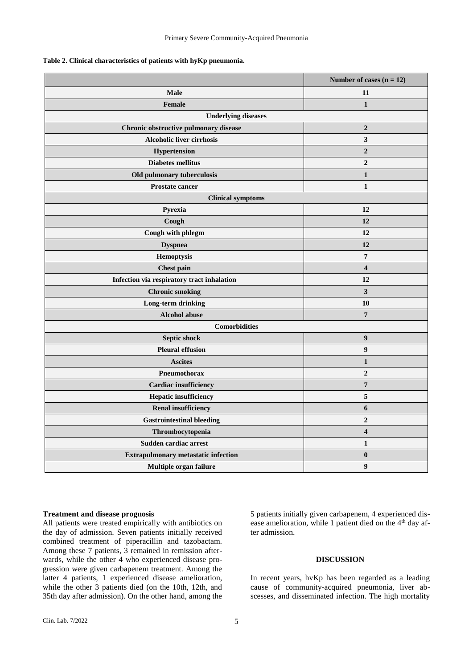| Table 2. Clinical characteristics of patients with hyKp pneumonia. |  |  |  |
|--------------------------------------------------------------------|--|--|--|
|--------------------------------------------------------------------|--|--|--|

|                                            | Number of cases $(n = 12)$ |  |  |  |
|--------------------------------------------|----------------------------|--|--|--|
| Male                                       | 11                         |  |  |  |
| <b>Female</b>                              | $\mathbf{1}$               |  |  |  |
| <b>Underlying diseases</b>                 |                            |  |  |  |
| Chronic obstructive pulmonary disease      | $\overline{2}$             |  |  |  |
| <b>Alcoholic liver cirrhosis</b>           | $\mathbf{3}$               |  |  |  |
| Hypertension                               | $\boldsymbol{2}$           |  |  |  |
| <b>Diabetes mellitus</b>                   | $\mathbf{2}$               |  |  |  |
| Old pulmonary tuberculosis                 | 1                          |  |  |  |
| <b>Prostate cancer</b>                     | $\mathbf{1}$               |  |  |  |
| <b>Clinical symptoms</b>                   |                            |  |  |  |
| Pyrexia                                    | 12                         |  |  |  |
| Cough                                      | 12                         |  |  |  |
| Cough with phlegm                          | 12                         |  |  |  |
| <b>Dyspnea</b>                             | 12                         |  |  |  |
| Hemoptysis                                 | $\overline{7}$             |  |  |  |
| <b>Chest pain</b>                          | $\overline{\mathbf{4}}$    |  |  |  |
| Infection via respiratory tract inhalation | 12                         |  |  |  |
| <b>Chronic smoking</b>                     | $\mathbf{3}$               |  |  |  |
| Long-term drinking                         | <b>10</b>                  |  |  |  |
| <b>Alcohol abuse</b>                       | $\boldsymbol{7}$           |  |  |  |
| <b>Comorbidities</b>                       |                            |  |  |  |
| Septic shock                               | $\boldsymbol{9}$           |  |  |  |
| <b>Pleural effusion</b>                    | 9                          |  |  |  |
| <b>Ascites</b>                             | 1                          |  |  |  |
| Pneumothorax                               | $\boldsymbol{2}$           |  |  |  |
| <b>Cardiac</b> insufficiency               | $\boldsymbol{7}$           |  |  |  |
| <b>Hepatic insufficiency</b>               | 5                          |  |  |  |
| <b>Renal insufficiency</b>                 | 6                          |  |  |  |
| <b>Gastrointestinal bleeding</b>           | $\boldsymbol{2}$           |  |  |  |
| Thrombocytopenia                           | 4                          |  |  |  |
| Sudden cardiac arrest                      | $\mathbf{1}$               |  |  |  |
| <b>Extrapulmonary metastatic infection</b> | $\bf{0}$                   |  |  |  |
| Multiple organ failure                     | 9                          |  |  |  |

## **Treatment and disease prognosis**

All patients were treated empirically with antibiotics on the day of admission. Seven patients initially received combined treatment of piperacillin and tazobactam. Among these 7 patients, 3 remained in remission afterwards, while the other 4 who experienced disease progression were given carbapenem treatment. Among the latter 4 patients, 1 experienced disease amelioration, while the other 3 patients died (on the 10th, 12th, and 35th day after admission). On the other hand, among the

5 patients initially given carbapenem, 4 experienced disease amelioration, while 1 patient died on the 4<sup>th</sup> day after admission.

#### **DISCUSSION**

In recent years, hvKp has been regarded as a leading cause of community-acquired pneumonia, liver abscesses, and disseminated infection. The high mortality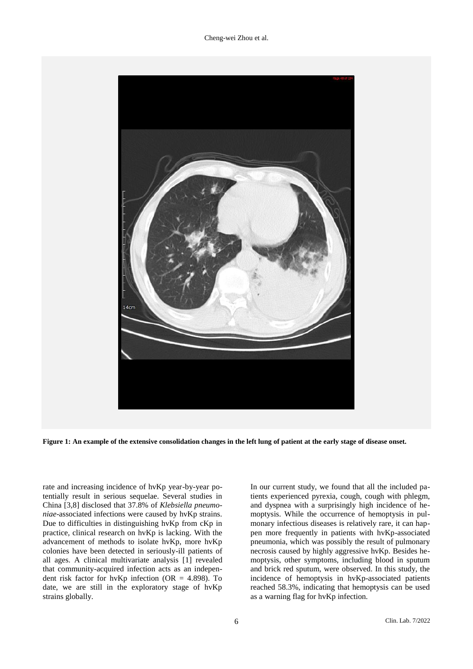Cheng-wei Zhou et al.



**Figure 1: An example of the extensive consolidation changes in the left lung of patient at the early stage of disease onset.**

rate and increasing incidence of hvKp year-by-year potentially result in serious sequelae. Several studies in China [\[3](#page-9-1)[,8\]](#page-9-6) disclosed that 37.8% of *Klebsiella pneumoniae*-associated infections were caused by hvKp strains. Due to difficulties in distinguishing hvKp from cKp in practice, clinical research on hvKp is lacking. With the advancement of methods to isolate hvKp, more hvKp colonies have been detected in seriously-ill patients of all ages. A clinical multivariate analysis [1] revealed that community-acquired infection acts as an independent risk factor for hvKp infection (OR =  $4.898$ ). To date, we are still in the exploratory stage of hvKp strains globally.

In our current study, we found that all the included patients experienced pyrexia, cough, cough with phlegm, and dyspnea with a surprisingly high incidence of hemoptysis. While the occurrence of hemoptysis in pulmonary infectious diseases is relatively rare, it can happen more frequently in patients with hvKp-associated pneumonia, which was possibly the result of pulmonary necrosis caused by highly aggressive hvKp. Besides hemoptysis, other symptoms, including blood in sputum and brick red sputum, were observed. In this study, the incidence of hemoptysis in hvKp-associated patients reached 58.3%, indicating that hemoptysis can be used as a warning flag for hvKp infection.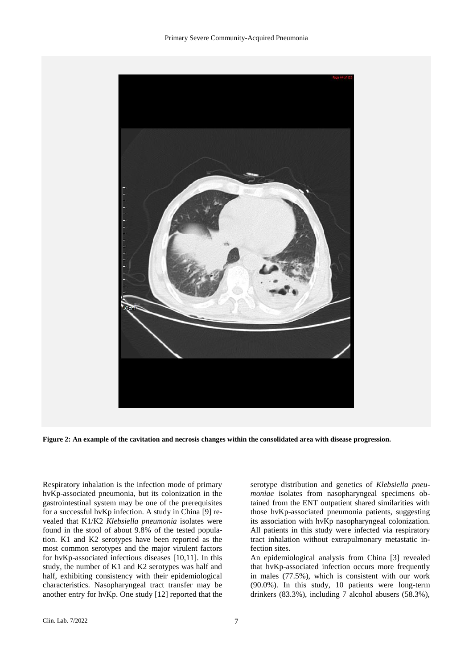

**Figure 2: An example of the cavitation and necrosis changes within the consolidated area with disease progression.**

Respiratory inhalation is the infection mode of primary hvKp-associated pneumonia, but its colonization in the gastrointestinal system may be one of the prerequisites for a successful hvKp infection. A study in China [\[9\]](#page-9-7) revealed that K1/K2 *Klebsiella pneumonia* isolates were found in the stool of about 9.8% of the tested population. K1 and K2 serotypes have been reported as the most common serotypes and the major virulent factors for hvKp-associated infectious diseases [\[10](#page-9-8)[,11\]](#page-9-9). In this study, the number of K1 and K2 serotypes was half and half, exhibiting consistency with their epidemiological characteristics. Nasopharyngeal tract transfer may be another entry for hvKp. One study [\[12\]](#page-9-10) reported that the serotype distribution and genetics of *Klebsiella pneumoniae* isolates from nasopharyngeal specimens obtained from the ENT outpatient shared similarities with those hvKp-associated pneumonia patients, suggesting its association with hvKp nasopharyngeal colonization. All patients in this study were infected via respiratory tract inhalation without extrapulmonary metastatic infection sites.

An epidemiological analysis from China [\[3\]](#page-9-1) revealed that hvKp-associated infection occurs more frequently in males (77.5%), which is consistent with our work (90.0%). In this study, 10 patients were long-term drinkers (83.3%), including 7 alcohol abusers (58.3%),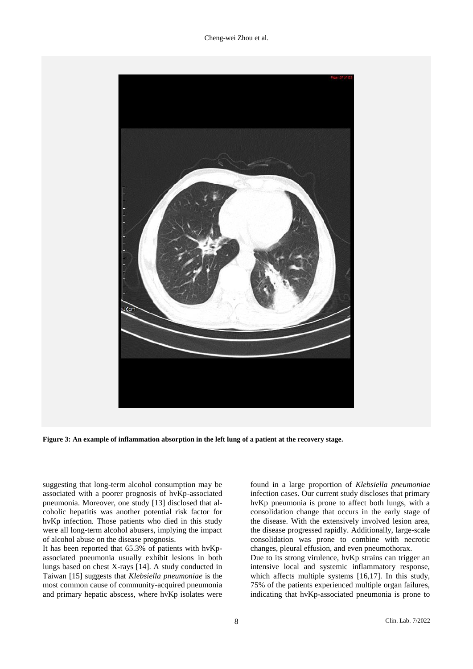Cheng-wei Zhou et al.



**Figure 3: An example of inflammation absorption in the left lung of a patient at the recovery stage.**

suggesting that long-term alcohol consumption may be associated with a poorer prognosis of hvKp-associated pneumonia. Moreover, one study [\[13\]](#page-9-11) disclosed that alcoholic hepatitis was another potential risk factor for hvKp infection. Those patients who died in this study were all long-term alcohol abusers, implying the impact of alcohol abuse on the disease prognosis.

It has been reported that 65.3% of patients with hvKpassociated pneumonia usually exhibit lesions in both lungs based on chest X-rays [\[14\]](#page-9-12). A study conducted in Taiwan [\[15\]](#page-9-13) suggests that *Klebsiella pneumoniae* is the most common cause of community-acquired pneumonia and primary hepatic abscess, where hvKp isolates were

found in a large proportion of *Klebsiella pneumoniae* infection cases. Our current study discloses that primary hvKp pneumonia is prone to affect both lungs, with a consolidation change that occurs in the early stage of the disease. With the extensively involved lesion area, the disease progressed rapidly. Additionally, large-scale consolidation was prone to combine with necrotic changes, pleural effusion, and even pneumothorax.

Due to its strong virulence, hvKp strains can trigger an intensive local and systemic inflammatory response, which affects multiple systems [\[16](#page-9-14)[,17\]](#page-9-15). In this study, 75% of the patients experienced multiple organ failures, indicating that hvKp-associated pneumonia is prone to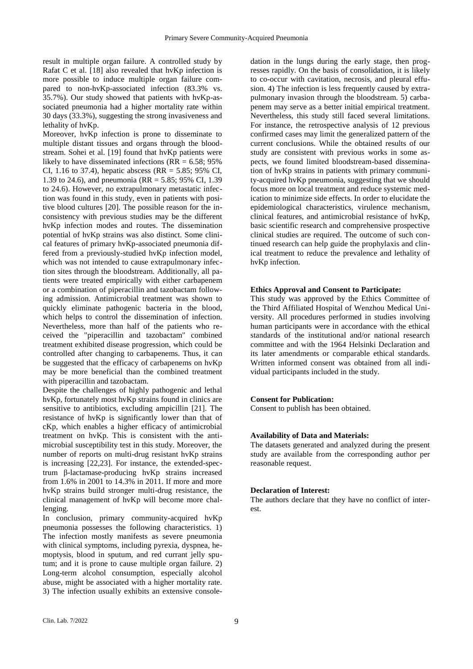result in multiple organ failure. A controlled study by Rafat C et al. [\[18\]](#page-9-16) also revealed that hvKp infection is more possible to induce multiple organ failure compared to non-hvKp-associated infection (83.3% vs. 35.7%). Our study showed that patients with hvKp-associated pneumonia had a higher mortality rate within 30 days (33.3%), suggesting the strong invasiveness and lethality of hvKp.

Moreover, hvKp infection is prone to disseminate to multiple distant tissues and organs through the bloodstream. Sohei et al. [\[19\]](#page-9-17) found that hvKp patients were likely to have disseminated infections ( $RR = 6.58$ ; 95%) CI, 1.16 to 37.4), hepatic abscess (RR =  $5.85$ ; 95% CI, 1.39 to 24.6), and pneumonia (RR = 5.85; 95% CI, 1.39 to 24.6). However, no extrapulmonary metastatic infection was found in this study, even in patients with positive blood cultures [\[20\]](#page-9-18). The possible reason for the inconsistency with previous studies may be the different hvKp infection modes and routes. The dissemination potential of hvKp strains was also distinct. Some clinical features of primary hvKp-associated pneumonia differed from a previously-studied hvKp infection model, which was not intended to cause extrapulmonary infection sites through the bloodstream. Additionally, all patients were treated empirically with either carbapenem or a combination of piperacillin and tazobactam following admission. Antimicrobial treatment was shown to quickly eliminate pathogenic bacteria in the blood, which helps to control the dissemination of infection. Nevertheless, more than half of the patients who received the "piperacillin and tazobactam" combined treatment exhibited disease progression, which could be controlled after changing to carbapenems. Thus, it can be suggested that the efficacy of carbapenems on hvKp may be more beneficial than the combined treatment with piperacillin and tazobactam.

Despite the challenges of highly pathogenic and lethal hvKp, fortunately most hvKp strains found in clinics are sensitive to antibiotics, excluding ampicillin [\[21\]](#page-9-19). The resistance of hvKp is significantly lower than that of cKp, which enables a higher efficacy of antimicrobial treatment on hvKp. This is consistent with the antimicrobial susceptibility test in this study. Moreover, the number of reports on multi-drug resistant hvKp strains is increasing [\[22](#page-9-20)[,23\]](#page-9-21). For instance, the extended-spectrum β-lactamase-producing hvKp strains increased from 1.6% in 2001 to 14.3% in 2011. If more and more hvKp strains build stronger multi-drug resistance, the clinical management of hvKp will become more challenging.

In conclusion, primary community-acquired hvKp pneumonia possesses the following characteristics. 1) The infection mostly manifests as severe pneumonia with clinical symptoms, including pyrexia, dyspnea, hemoptysis, blood in sputum, and red currant jelly sputum; and it is prone to cause multiple organ failure. 2) Long-term alcohol consumption, especially alcohol abuse, might be associated with a higher mortality rate. 3) The infection usually exhibits an extensive console-

dation in the lungs during the early stage, then progresses rapidly. On the basis of consolidation, it is likely to co-occur with cavitation, necrosis, and pleural effusion. 4) The infection is less frequently caused by extrapulmonary invasion through the bloodstream. 5) carbapenem may serve as a better initial empirical treatment. Nevertheless, this study still faced several limitations. For instance, the retrospective analysis of 12 previous confirmed cases may limit the generalized pattern of the current conclusions. While the obtained results of our study are consistent with previous works in some aspects, we found limited bloodstream-based dissemination of hvKp strains in patients with primary community-acquired hvKp pneumonia, suggesting that we should focus more on local treatment and reduce systemic medication to minimize side effects. In order to elucidate the epidemiological characteristics, virulence mechanism, clinical features, and antimicrobial resistance of hvKp, basic scientific research and comprehensive prospective clinical studies are required. The outcome of such continued research can help guide the prophylaxis and clinical treatment to reduce the prevalence and lethality of hvKp infection.

#### **Ethics Approval and Consent to Participate:**

This study was approved by the Ethics Committee of the Third Affiliated Hospital of Wenzhou Medical University. All procedures performed in studies involving human participants were in accordance with the ethical standards of the institutional and/or national research committee and with the 1964 Helsinki Declaration and its later amendments or comparable ethical standards. Written informed consent was obtained from all individual participants included in the study.

#### **Consent for Publication:**

Consent to publish has been obtained.

#### **Availability of Data and Materials:**

The datasets generated and analyzed during the present study are available from the corresponding author per reasonable request.

#### **Declaration of Interest:**

The authors declare that they have no conflict of interest.